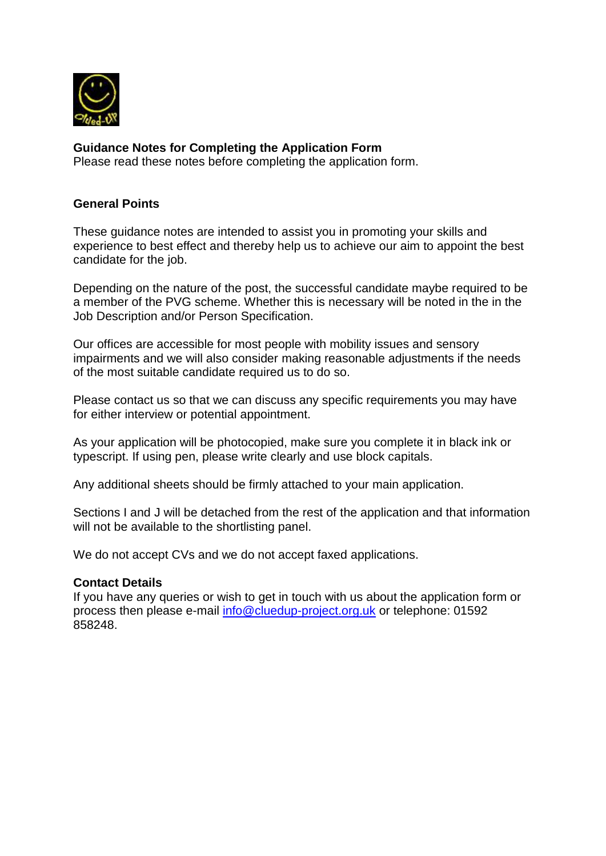

# **Guidance Notes for Completing the Application Form**

Please read these notes before completing the application form.

## **General Points**

These guidance notes are intended to assist you in promoting your skills and experience to best effect and thereby help us to achieve our aim to appoint the best candidate for the job.

Depending on the nature of the post, the successful candidate maybe required to be a member of the PVG scheme. Whether this is necessary will be noted in the in the Job Description and/or Person Specification.

Our offices are accessible for most people with mobility issues and sensory impairments and we will also consider making reasonable adjustments if the needs of the most suitable candidate required us to do so.

Please contact us so that we can discuss any specific requirements you may have for either interview or potential appointment.

As your application will be photocopied, make sure you complete it in black ink or typescript. If using pen, please write clearly and use block capitals.

Any additional sheets should be firmly attached to your main application.

Sections I and J will be detached from the rest of the application and that information will not be available to the shortlisting panel.

We do not accept CVs and we do not accept faxed applications.

#### **Contact Details**

If you have any queries or wish to get in touch with us about the application form or process then please e-mail [info@cluedup-project.org.uk](mailto:info@cluedup-project.org.uk) or telephone: 01592 858248.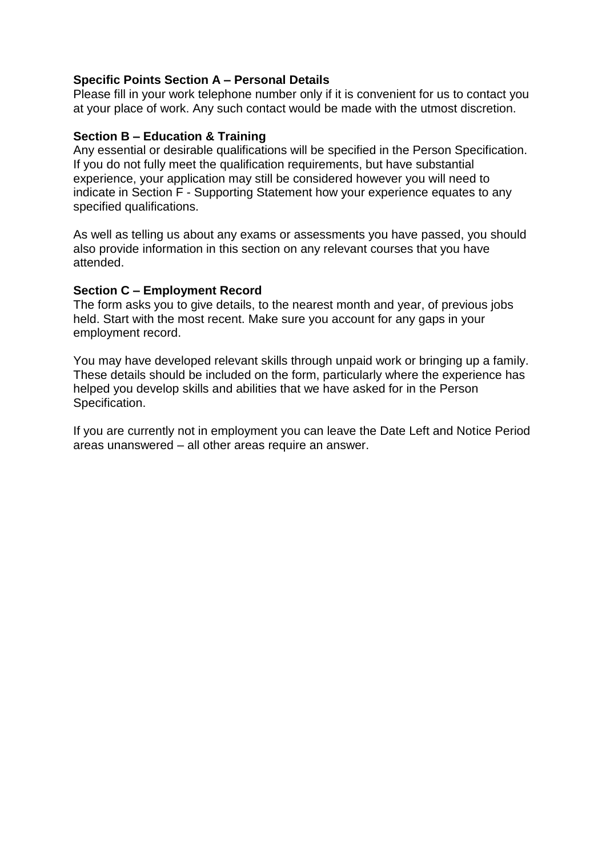## **Specific Points Section A – Personal Details**

Please fill in your work telephone number only if it is convenient for us to contact you at your place of work. Any such contact would be made with the utmost discretion.

#### **Section B – Education & Training**

Any essential or desirable qualifications will be specified in the Person Specification. If you do not fully meet the qualification requirements, but have substantial experience, your application may still be considered however you will need to indicate in Section F - Supporting Statement how your experience equates to any specified qualifications.

As well as telling us about any exams or assessments you have passed, you should also provide information in this section on any relevant courses that you have attended.

#### **Section C – Employment Record**

The form asks you to give details, to the nearest month and year, of previous jobs held. Start with the most recent. Make sure you account for any gaps in your employment record.

You may have developed relevant skills through unpaid work or bringing up a family. These details should be included on the form, particularly where the experience has helped you develop skills and abilities that we have asked for in the Person Specification.

If you are currently not in employment you can leave the Date Left and Notice Period areas unanswered – all other areas require an answer.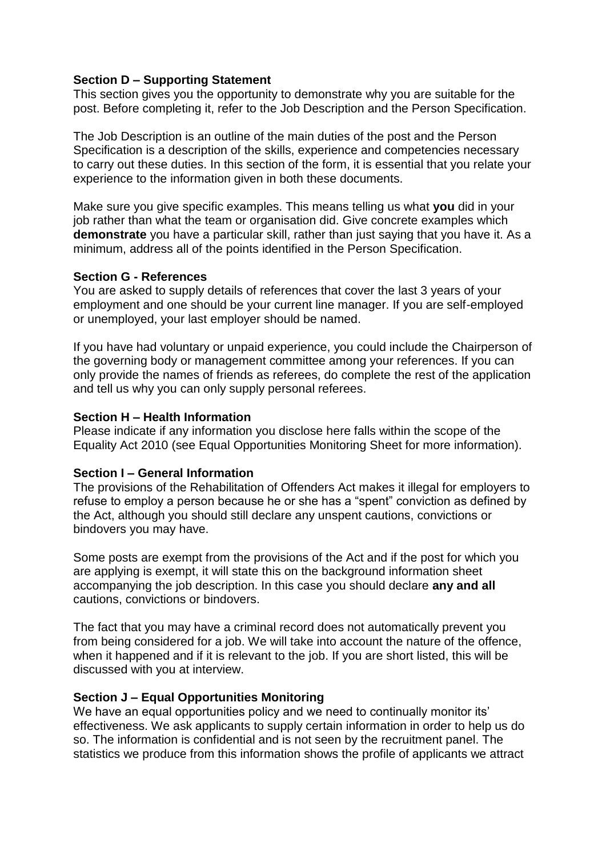#### **Section D – Supporting Statement**

This section gives you the opportunity to demonstrate why you are suitable for the post. Before completing it, refer to the Job Description and the Person Specification.

The Job Description is an outline of the main duties of the post and the Person Specification is a description of the skills, experience and competencies necessary to carry out these duties. In this section of the form, it is essential that you relate your experience to the information given in both these documents.

Make sure you give specific examples. This means telling us what **you** did in your job rather than what the team or organisation did. Give concrete examples which **demonstrate** you have a particular skill, rather than just saying that you have it. As a minimum, address all of the points identified in the Person Specification.

#### **Section G - References**

You are asked to supply details of references that cover the last 3 years of your employment and one should be your current line manager. If you are self-employed or unemployed, your last employer should be named.

If you have had voluntary or unpaid experience, you could include the Chairperson of the governing body or management committee among your references. If you can only provide the names of friends as referees, do complete the rest of the application and tell us why you can only supply personal referees.

#### **Section H – Health Information**

Please indicate if any information you disclose here falls within the scope of the Equality Act 2010 (see Equal Opportunities Monitoring Sheet for more information).

#### **Section I – General Information**

The provisions of the Rehabilitation of Offenders Act makes it illegal for employers to refuse to employ a person because he or she has a "spent" conviction as defined by the Act, although you should still declare any unspent cautions, convictions or bindovers you may have.

Some posts are exempt from the provisions of the Act and if the post for which you are applying is exempt, it will state this on the background information sheet accompanying the job description. In this case you should declare **any and all**  cautions, convictions or bindovers.

The fact that you may have a criminal record does not automatically prevent you from being considered for a job. We will take into account the nature of the offence, when it happened and if it is relevant to the job. If you are short listed, this will be discussed with you at interview.

#### **Section J – Equal Opportunities Monitoring**

We have an equal opportunities policy and we need to continually monitor its' effectiveness. We ask applicants to supply certain information in order to help us do so. The information is confidential and is not seen by the recruitment panel. The statistics we produce from this information shows the profile of applicants we attract